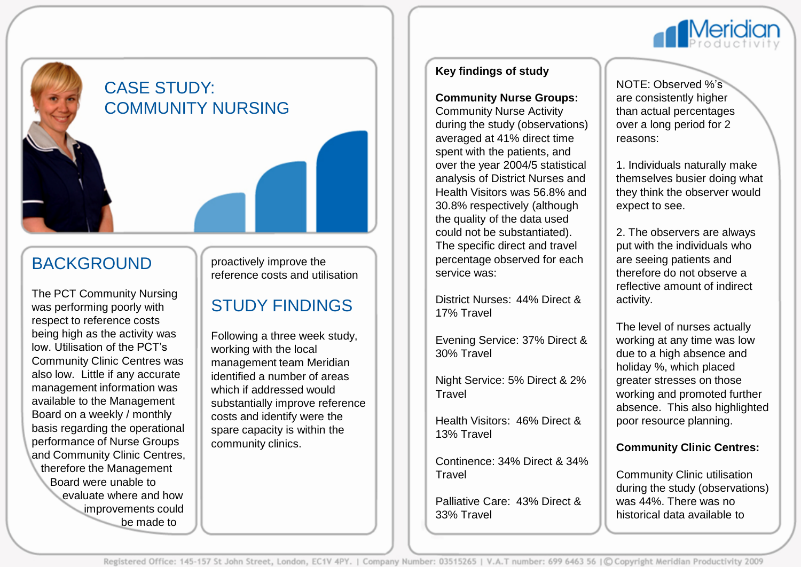

## CASE STUDY: COMMUNITY NURSING

## BACKGROUND

The PCT Community Nursing was performing poorly with respect to reference costs being high as the activity was low. Utilisation of the PCT's Community Clinic Centres was also low. Little if any accurate management information was available to the Management Board on a weekly / monthly basis regarding the operational performance of Nurse Groups and Community Clinic Centres, therefore the Management Board were unable to evaluate where and how improvements could be made to

proactively improve the reference costs and utilisation

# STUDY FINDINGS

Following a three week study, working with the local management team Meridian identified a number of areas which if addressed would substantially improve reference costs and identify were the spare capacity is within the community clinics.

## **Key findings of study**

#### **Community Nurse Groups:**

Community Nurse Activity during the study (observations) averaged at 41% direct time spent with the patients, and over the year 2004/5 statistical analysis of District Nurses and Health Visitors was 56.8% and 30.8% respectively (although the quality of the data used could not be substantiated). The specific direct and travel percentage observed for each service was:

District Nurses: 44% Direct & 17% Travel

Evening Service: 37% Direct & 30% Travel

Night Service: 5% Direct & 2% **Travel** 

Health Visitors: 46% Direct & 13% Travel

Continence: 34% Direct & 34% **Travel** 

Palliative Care: 43% Direct & 33% Travel

NOTE: Observed %'s are consistently higher than actual percentages over a long period for 2 reasons:

1. Individuals naturally make themselves busier doing what they think the observer would expect to see.

2. The observers are always put with the individuals who are seeing patients and therefore do not observe a reflective amount of indirect activity.

The level of nurses actually working at any time was low due to a high absence and holiday %, which placed greater stresses on those working and promoted further absence. This also highlighted poor resource planning.

### **Community Clinic Centres:**

Community Clinic utilisation during the study (observations) was 44%. There was no historical data available to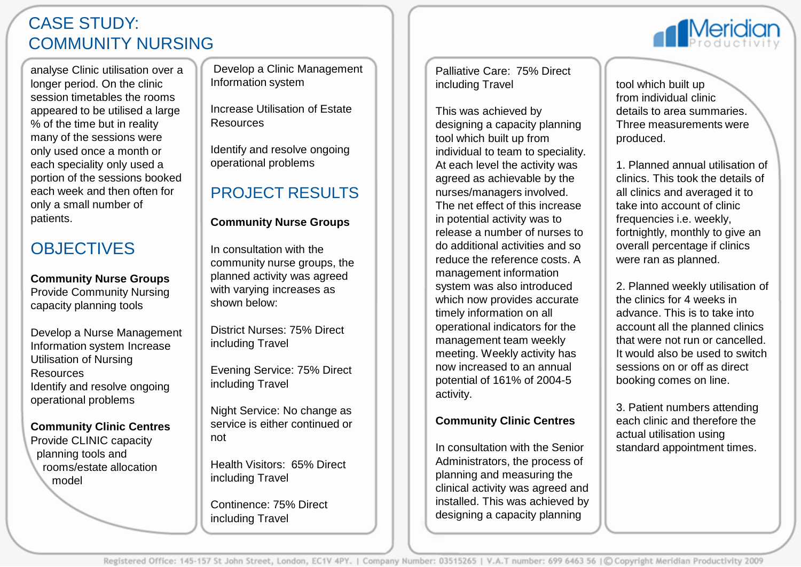# CASE STUDY: COMMUNITY NURSING

analyse Clinic utilisation over a longer period. On the clinic session timetables the rooms appeared to be utilised a large % of the time but in reality many of the sessions were only used once a month or each speciality only used a portion of the sessions booked each week and then often for only a small number of patients.

# **OBJECTIVES**

**Community Nurse Groups** Provide Community Nursing capacity planning tools

Develop a Nurse Management Information system Increase Utilisation of Nursing Resources Identify and resolve ongoing operational problems

## **Community Clinic Centres**

Provide CLINIC capacity planning tools and rooms/estate allocation model

Develop a Clinic Management Information system

Increase Utilisation of Estate **Resources** 

Identify and resolve ongoing operational problems

# PROJECT RESULTS

## **Community Nurse Groups**

In consultation with the community nurse groups, the planned activity was agreed with varying increases as shown below:

District Nurses: 75% Direct including Travel

Evening Service: 75% Direct including Travel

Night Service: No change as service is either continued or not

Health Visitors: 65% Direct including Travel

Continence: 75% Direct including Travel

Palliative Care: 75% Direct including Travel

This was achieved by designing a capacity planning tool which built up from individual to team to speciality. At each level the activity was agreed as achievable by the nurses/managers involved. The net effect of this increase in potential activity was to release a number of nurses to do additional activities and so reduce the reference costs. A management information system was also introduced which now provides accurate timely information on all operational indicators for the management team weekly meeting. Weekly activity has now increased to an annual potential of 161% of 2004-5 activity.

## **Community Clinic Centres**

In consultation with the Senior Administrators, the process of planning and measuring the clinical activity was agreed and installed. This was achieved by designing a capacity planning

tool which built up from individual clinic details to area summaries. Three measurements were produced.

**Meridio** 

1. Planned annual utilisation of clinics. This took the details of all clinics and averaged it to take into account of clinic frequencies i.e. weekly, fortnightly, monthly to give an overall percentage if clinics were ran as planned.

2. Planned weekly utilisation of the clinics for 4 weeks in advance. This is to take into account all the planned clinics that were not run or cancelled. It would also be used to switch sessions on or off as direct booking comes on line.

3. Patient numbers attending each clinic and therefore the actual utilisation using standard appointment times.